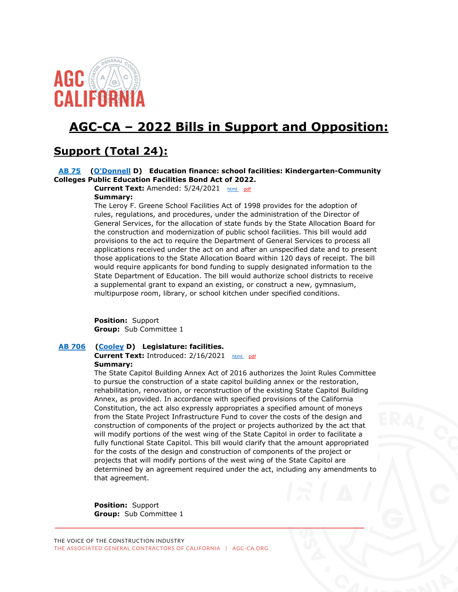

# **AGC-CA – 2022 Bills in Support and Opposition:**

# **Support (Total 24):**

# **[AB 75](https://ctweb.capitoltrack.com/public/publishbillinfo.aspx?bi=TnpGQ9%2b2r1mkv2C1jRKISpl%2f7kiwdE4acuKi67fdNOZL%2fg12pY48XtDsBXqUcSxH) [\(O'Donnell](https://a70.asmdc.org/) D) Education finance: school facilities: Kindergarten-Community Colleges Public Education Facilities Bond Act of 2022.**

**Current Text:** Amended: 5/24/2021 [html](https://ct3k1.capitoltrack.com/Bills/21Bills/asm/ab_0051-0100/ab_75_97_A_bill.htm) [pdf](https://ct3k1.capitoltrack.com/Bills/21Bills/asm/ab_0051-0100/ab_75_97_A_bill.pdf)

# **Summary:**

The Leroy F. Greene School Facilities Act of 1998 provides for the adoption of rules, regulations, and procedures, under the administration of the Director of General Services, for the allocation of state funds by the State Allocation Board for the construction and modernization of public school facilities. This bill would add provisions to the act to require the Department of General Services to process all applications received under the act on and after an unspecified date and to present those applications to the State Allocation Board within 120 days of receipt. The bill would require applicants for bond funding to supply designated information to the State Department of Education. The bill would authorize school districts to receive a supplemental grant to expand an existing, or construct a new, gymnasium, multipurpose room, library, or school kitchen under specified conditions.

**Position:** Support **Group:** Sub Committee 1

#### **[AB 706](https://ctweb.capitoltrack.com/public/publishbillinfo.aspx?bi=fy%2bX4ybjL%2fJaBAUKm21JvPEtrImF9A%2bAISSTMylqMx0SWtU66caeo5spK1r7DM3D) [\(Cooley](https://a08.asmdc.org/) D) Legislature: facilities.**

# Current Text: Introduced: 2/16/2021 [html](https://ct3k1.capitoltrack.com/Bills/21Bills/asm/ab_0701-0750/ab_706_99_I_bill.htm) [pdf](https://ct3k1.capitoltrack.com/Bills/21Bills/asm/ab_0701-0750/ab_706_99_I_bill.pdf) **Summary:**

The State Capitol Building Annex Act of 2016 authorizes the Joint Rules Committee to pursue the construction of a state capitol building annex or the restoration, rehabilitation, renovation, or reconstruction of the existing State Capitol Building Annex, as provided. In accordance with specified provisions of the California Constitution, the act also expressly appropriates a specified amount of moneys from the State Project Infrastructure Fund to cover the costs of the design and construction of components of the project or projects authorized by the act that will modify portions of the west wing of the State Capitol in order to facilitate a fully functional State Capitol. This bill would clarify that the amount appropriated for the costs of the design and construction of components of the project or projects that will modify portions of the west wing of the State Capitol are determined by an agreement required under the act, including any amendments to that agreement.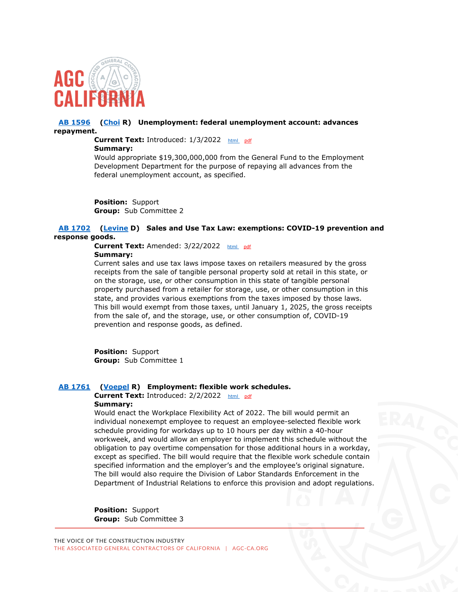

### **[AB 1596](https://ctweb.capitoltrack.com/public/publishbillinfo.aspx?bi=3Dm1ASHkuKq2LjIRZgKRPhPFKsyVjuXRxHnjgtI7nZO8U6hihnak5GmU7uKGAzZH) [\(Choi](https://ad68.asmrc.org/) R) Unemployment: federal unemployment account: advances repayment.**

**Current Text: Introduced: 1/3/2022** [html](https://ct3k1.capitoltrack.com/Bills/21Bills/asm/ab_1551-1600/ab_1596_99_I_bill.htm) [pdf](https://ct3k1.capitoltrack.com/Bills/21Bills/asm/ab_1551-1600/ab_1596_99_I_bill.pdf)

#### **Summary:**

Would appropriate \$19,300,000,000 from the General Fund to the Employment Development Department for the purpose of repaying all advances from the federal unemployment account, as specified.

**Position:** Support **Group:** Sub Committee 2

## **[AB 1702](https://ctweb.capitoltrack.com/public/publishbillinfo.aspx?bi=aI3tn66WSrlBbCmlbHS3KGc%2bPtU1lKEaXvCBvBKtiulcW2Ugd9sYvRmSVyEHtpNL) [\(Levine](https://a10.asmdc.org/) D) Sales and Use Tax Law: exemptions: COVID-19 prevention and response goods.**

**Current Text:** Amended: 3/22/2022 [html](https://ct3k1.capitoltrack.com/Bills/21Bills/asm/ab_1701-1750/ab_1702_98_A_bill.htm) [pdf](https://ct3k1.capitoltrack.com/Bills/21Bills/asm/ab_1701-1750/ab_1702_98_A_bill.pdf) **Summary:**

Current sales and use tax laws impose taxes on retailers measured by the gross receipts from the sale of tangible personal property sold at retail in this state, or on the storage, use, or other consumption in this state of tangible personal property purchased from a retailer for storage, use, or other consumption in this state, and provides various exemptions from the taxes imposed by those laws. This bill would exempt from those taxes, until January 1, 2025, the gross receipts from the sale of, and the storage, use, or other consumption of, COVID-19 prevention and response goods, as defined.

**Position:** Support **Group:** Sub Committee 1

#### **[AB 1761](https://ctweb.capitoltrack.com/public/publishbillinfo.aspx?bi=nJNDzQl7DguEfD5FlMkvBgTir0Oiy6rbiC9GLdpoKHh4ozUcu8gOxPLU63nW%2fiU1) [\(Voepel](https://ad71.asmrc.org/) R) Employment: flexible work schedules.**

**Current Text:** Introduced: 2/2/2022 [html](https://ct3k1.capitoltrack.com/Bills/21Bills/asm/ab_1751-1800/ab_1761_99_I_bill.htm) [pdf](https://ct3k1.capitoltrack.com/Bills/21Bills/asm/ab_1751-1800/ab_1761_99_I_bill.pdf) **Summary:**

Would enact the Workplace Flexibility Act of 2022. The bill would permit an individual nonexempt employee to request an employee-selected flexible work schedule providing for workdays up to 10 hours per day within a 40-hour workweek, and would allow an employer to implement this schedule without the obligation to pay overtime compensation for those additional hours in a workday, except as specified. The bill would require that the flexible work schedule contain specified information and the employer's and the employee's original signature. The bill would also require the Division of Labor Standards Enforcement in the Department of Industrial Relations to enforce this provision and adopt regulations.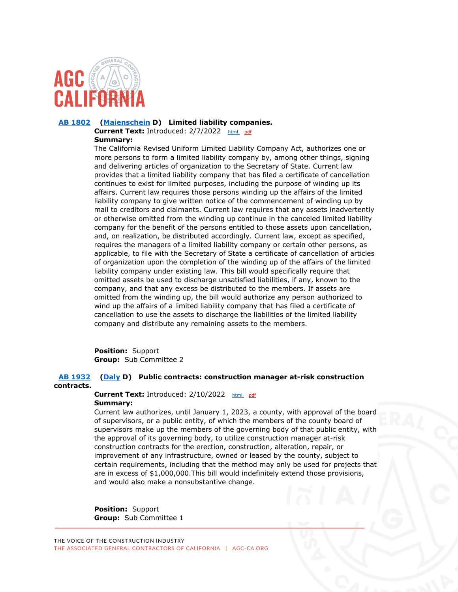

# **[AB 1802](https://ctweb.capitoltrack.com/public/publishbillinfo.aspx?bi=Uj9KjCU3UJqaUAvYiytnNwUY%2bEwcM5V1V8DxsLF5S4asicYoNnPXCRKxNlt3eW3y) [\(Maienschein](https://a77.asmdc.org/) D) Limited liability companies.**

**Current Text:** Introduced: 2/7/2022 [html](https://ct3k1.capitoltrack.com/Bills/21Bills/asm/ab_1801-1850/ab_1802_99_I_bill.htm) [pdf](https://ct3k1.capitoltrack.com/Bills/21Bills/asm/ab_1801-1850/ab_1802_99_I_bill.pdf) **Summary:**

The California Revised Uniform Limited Liability Company Act, authorizes one or more persons to form a limited liability company by, among other things, signing and delivering articles of organization to the Secretary of State. Current law provides that a limited liability company that has filed a certificate of cancellation continues to exist for limited purposes, including the purpose of winding up its affairs. Current law requires those persons winding up the affairs of the limited liability company to give written notice of the commencement of winding up by mail to creditors and claimants. Current law requires that any assets inadvertently or otherwise omitted from the winding up continue in the canceled limited liability company for the benefit of the persons entitled to those assets upon cancellation, and, on realization, be distributed accordingly. Current law, except as specified, requires the managers of a limited liability company or certain other persons, as applicable, to file with the Secretary of State a certificate of cancellation of articles of organization upon the completion of the winding up of the affairs of the limited liability company under existing law. This bill would specifically require that omitted assets be used to discharge unsatisfied liabilities, if any, known to the company, and that any excess be distributed to the members. If assets are omitted from the winding up, the bill would authorize any person authorized to wind up the affairs of a limited liability company that has filed a certificate of cancellation to use the assets to discharge the liabilities of the limited liability company and distribute any remaining assets to the members.

**Position:** Support **Group:** Sub Committee 2

# **[AB 1932](https://ctweb.capitoltrack.com/public/publishbillinfo.aspx?bi=g8jHl09bn1Nt0uQJpJllaFvQVu3gEjh%2fhHg%2bxuafaTZDXAMDSUP3LsXfey4O2yN7) [\(Daly](https://a69.asmdc.org/) D) Public contracts: construction manager at-risk construction contracts.**

**Current Text:** Introduced: 2/10/2022 [html](https://ct3k1.capitoltrack.com/Bills/21Bills/asm/ab_1901-1950/ab_1932_99_I_bill.htm) [pdf](https://ct3k1.capitoltrack.com/Bills/21Bills/asm/ab_1901-1950/ab_1932_99_I_bill.pdf) **Summary:**

Current law authorizes, until January 1, 2023, a county, with approval of the board of supervisors, or a public entity, of which the members of the county board of supervisors make up the members of the governing body of that public entity, with the approval of its governing body, to utilize construction manager at-risk construction contracts for the erection, construction, alteration, repair, or improvement of any infrastructure, owned or leased by the county, subject to certain requirements, including that the method may only be used for projects that are in excess of \$1,000,000.This bill would indefinitely extend those provisions, and would also make a nonsubstantive change.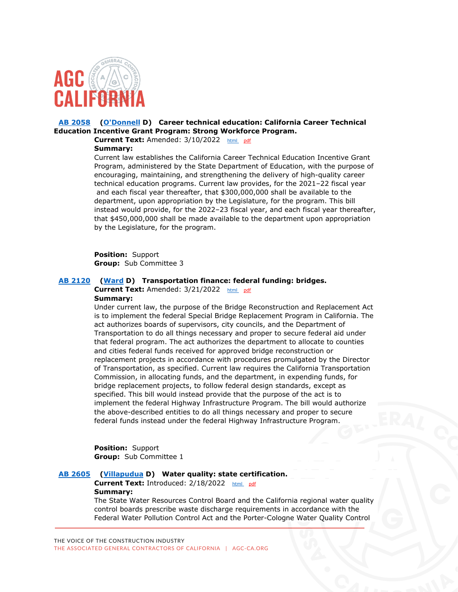

# **[AB 2058](https://ctweb.capitoltrack.com/public/publishbillinfo.aspx?bi=yTdHecI4V9KAz3iLjo14JdGkXA%2b%2bPx%2bf5QQCRVA6xmWgJYtwh8AUVkaMDXV1fzRi) [\(O'Donnell](https://a70.asmdc.org/) D) Career technical education: California Career Technical Education Incentive Grant Program: Strong Workforce Program.**

**Current Text:** Amended: 3/10/2022 [html](https://ct3k1.capitoltrack.com/Bills/21Bills/asm/ab_2051-2100/ab_2058_98_A_bill.htm) [pdf](https://ct3k1.capitoltrack.com/Bills/21Bills/asm/ab_2051-2100/ab_2058_98_A_bill.pdf) **Summary:**

Current law establishes the California Career Technical Education Incentive Grant Program, administered by the State Department of Education, with the purpose of encouraging, maintaining, and strengthening the delivery of high-quality career technical education programs. Current law provides, for the 2021–22 fiscal year and each fiscal year thereafter, that \$300,000,000 shall be available to the department, upon appropriation by the Legislature, for the program. This bill instead would provide, for the 2022–23 fiscal year, and each fiscal year thereafter, that \$450,000,000 shall be made available to the department upon appropriation by the Legislature, for the program.

**Position:** Support **Group:** Sub Committee 3

# **[AB 2120](https://ctweb.capitoltrack.com/public/publishbillinfo.aspx?bi=9JwhbYqVAHuLpb7g5o06LDcOCppb3RD%2bOykQzFi0f6Ic%2fnSJpjtcEtP1CxI5WrAd) [\(Ward](https://a78.asmdc.org/) D) Transportation finance: federal funding: bridges.**

**Current Text:** Amended: 3/21/2022 [html](https://ct3k1.capitoltrack.com/Bills/21Bills/asm/ab_2101-2150/ab_2120_98_A_bill.htm) [pdf](https://ct3k1.capitoltrack.com/Bills/21Bills/asm/ab_2101-2150/ab_2120_98_A_bill.pdf) **Summary:**

Under current law, the purpose of the Bridge Reconstruction and Replacement Act is to implement the federal Special Bridge Replacement Program in California. The act authorizes boards of supervisors, city councils, and the Department of Transportation to do all things necessary and proper to secure federal aid under that federal program. The act authorizes the department to allocate to counties and cities federal funds received for approved bridge reconstruction or replacement projects in accordance with procedures promulgated by the Director of Transportation, as specified. Current law requires the California Transportation Commission, in allocating funds, and the department, in expending funds, for bridge replacement projects, to follow federal design standards, except as specified. This bill would instead provide that the purpose of the act is to implement the federal Highway Infrastructure Program. The bill would authorize the above-described entities to do all things necessary and proper to secure federal funds instead under the federal Highway Infrastructure Program.

**Position:** Support **Group:** Sub Committee 1

#### **[AB 2605](https://ctweb.capitoltrack.com/public/publishbillinfo.aspx?bi=ZTG9SKn6r11nJy4Oryyq%2b09DSRFWGc7fsg6ze14JcUSQ2vuxijxdH0neJSSzX30C) [\(Villapudua](https://a13.asmdc.org/) D) Water quality: state certification.**

**Current Text:** Introduced: 2/18/2022 [html](https://ct3k1.capitoltrack.com/Bills/21Bills/asm/ab_2601-2650/ab_2605_99_I_bill.htm) [pdf](https://ct3k1.capitoltrack.com/Bills/21Bills/asm/ab_2601-2650/ab_2605_99_I_bill.pdf) **Summary:**

The State Water Resources Control Board and the California regional water quality control boards prescribe waste discharge requirements in accordance with the Federal Water Pollution Control Act and the Porter-Cologne Water Quality Control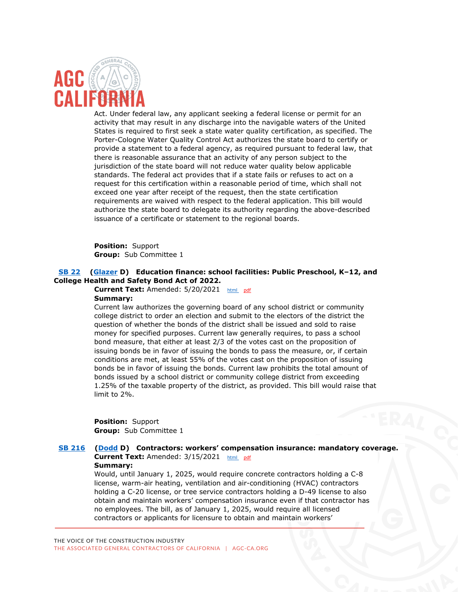

Act. Under federal law, any applicant seeking a federal license or permit for an activity that may result in any discharge into the navigable waters of the United States is required to first seek a state water quality certification, as specified. The Porter-Cologne Water Quality Control Act authorizes the state board to certify or provide a statement to a federal agency, as required pursuant to federal law, that there is reasonable assurance that an activity of any person subject to the jurisdiction of the state board will not reduce water quality below applicable standards. The federal act provides that if a state fails or refuses to act on a request for this certification within a reasonable period of time, which shall not exceed one year after receipt of the request, then the state certification requirements are waived with respect to the federal application. This bill would authorize the state board to delegate its authority regarding the above-described issuance of a certificate or statement to the regional boards.

**Position:** Support **Group:** Sub Committee 1

#### **[SB 22](https://ctweb.capitoltrack.com/public/publishbillinfo.aspx?bi=jtDCKu9vhiWEdFI9bPo67OdzSCnz2UrXMEWg%2bfOm6Wt16I9TkFaQGLdg0zFnuhyk) [\(Glazer](http://sd07.senate.ca.gov/) D) Education finance: school facilities: Public Preschool, K–12, and College Health and Safety Bond Act of 2022.**

**Current Text:** Amended: 5/20/2021 [html](https://ct3k1.capitoltrack.com/Bills/21Bills/sen/sb_0001-0050/sb_22_97_A_bill.htm) [pdf](https://ct3k1.capitoltrack.com/Bills/21Bills/sen/sb_0001-0050/sb_22_97_A_bill.pdf) **Summary:**

Current law authorizes the governing board of any school district or community college district to order an election and submit to the electors of the district the question of whether the bonds of the district shall be issued and sold to raise money for specified purposes. Current law generally requires, to pass a school bond measure, that either at least 2/3 of the votes cast on the proposition of issuing bonds be in favor of issuing the bonds to pass the measure, or, if certain conditions are met, at least 55% of the votes cast on the proposition of issuing bonds be in favor of issuing the bonds. Current law prohibits the total amount of bonds issued by a school district or community college district from exceeding 1.25% of the taxable property of the district, as provided. This bill would raise that limit to 2%.

**Position:** Support **Group:** Sub Committee 1

# **[SB 216](https://ctweb.capitoltrack.com/public/publishbillinfo.aspx?bi=npZiYI5H6zd1uzVqNoylfevJIQNGehei6i9IOZAoGDPyQeVbnw8NMZnDW8Aey701) [\(Dodd](http://sd03.senate.ca.gov/) D) Contractors: workers' compensation insurance: mandatory coverage. Current Text:** Amended: 3/15/2021 [html](https://ct3k1.capitoltrack.com/Bills/21Bills/sen/sb_0201-0250/sb_216_98_A_bill.htm) [pdf](https://ct3k1.capitoltrack.com/Bills/21Bills/sen/sb_0201-0250/sb_216_98_A_bill.pdf)

**Summary:**

Would, until January 1, 2025, would require concrete contractors holding a C-8 license, warm-air heating, ventilation and air-conditioning (HVAC) contractors holding a C-20 license, or tree service contractors holding a D-49 license to also obtain and maintain workers' compensation insurance even if that contractor has no employees. The bill, as of January 1, 2025, would require all licensed contractors or applicants for licensure to obtain and maintain workers'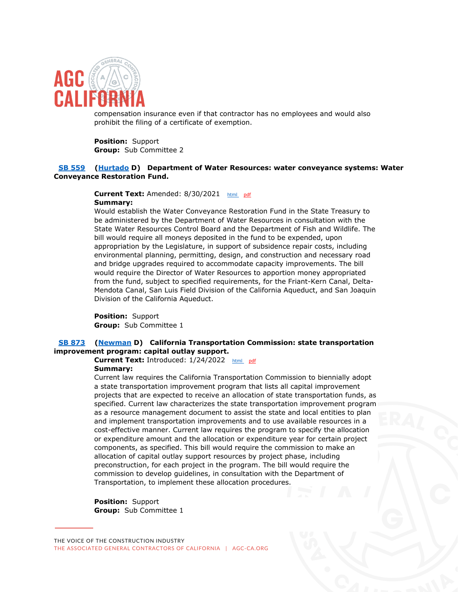

compensation insurance even if that contractor has no employees and would also prohibit the filing of a certificate of exemption.

**Position:** Support **Group:** Sub Committee 2

#### **[SB 559](https://ctweb.capitoltrack.com/public/publishbillinfo.aspx?bi=5CQVL%2f4%2bh0DC4UAWPplK19yhaumznvEzC%2fdX8BjLZ7locrm8x%2f2Ro1Dqt0bTqBOs) [\(Hurtado](https://sd14.senate.ca.gov/) D) Department of Water Resources: water conveyance systems: Water Conveyance Restoration Fund.**

**Current Text:** Amended: 8/30/2021 [html](https://ct3k1.capitoltrack.com/Bills/21Bills/sen/sb_0551-0600/sb_559_95_A_bill.htm) [pdf](https://ct3k1.capitoltrack.com/Bills/21Bills/sen/sb_0551-0600/sb_559_95_A_bill.pdf) **Summary:**

Would establish the Water Conveyance Restoration Fund in the State Treasury to be administered by the Department of Water Resources in consultation with the State Water Resources Control Board and the Department of Fish and Wildlife. The bill would require all moneys deposited in the fund to be expended, upon appropriation by the Legislature, in support of subsidence repair costs, including environmental planning, permitting, design, and construction and necessary road and bridge upgrades required to accommodate capacity improvements. The bill would require the Director of Water Resources to apportion money appropriated from the fund, subject to specified requirements, for the Friant-Kern Canal, Delta-Mendota Canal, San Luis Field Division of the California Aqueduct, and San Joaquin Division of the California Aqueduct.

**Position:** Support **Group:** Sub Committee 1

#### **[SB 873](https://ctweb.capitoltrack.com/public/publishbillinfo.aspx?bi=X8Oo7KPxnG3KahSLdDMG25C%2bE8IOrk5ov5xii4XcR92qvUtA%2fOWYoP0%2fG6Os5Tmw) [\(Newman](https://sd29.senate.ca.gov/) D) California Transportation Commission: state transportation improvement program: capital outlay support.**

**Current Text:** Introduced: 1/24/2022 [html](https://ct3k1.capitoltrack.com/Bills/21Bills/sen/sb_0851-0900/sb_873_99_I_bill.htm) [pdf](https://ct3k1.capitoltrack.com/Bills/21Bills/sen/sb_0851-0900/sb_873_99_I_bill.pdf) **Summary:**

Current law requires the California Transportation Commission to biennially adopt a state transportation improvement program that lists all capital improvement projects that are expected to receive an allocation of state transportation funds, as specified. Current law characterizes the state transportation improvement program as a resource management document to assist the state and local entities to plan and implement transportation improvements and to use available resources in a cost-effective manner. Current law requires the program to specify the allocation or expenditure amount and the allocation or expenditure year for certain project components, as specified. This bill would require the commission to make an allocation of capital outlay support resources by project phase, including preconstruction, for each project in the program. The bill would require the commission to develop guidelines, in consultation with the Department of Transportation, to implement these allocation procedures.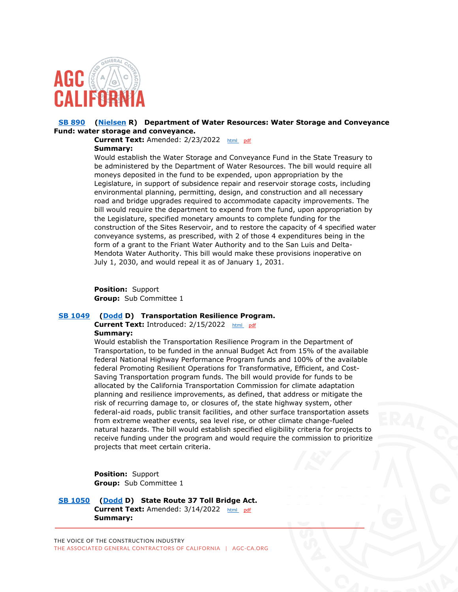

### **[SB 890](https://ctweb.capitoltrack.com/public/publishbillinfo.aspx?bi=tLB2dakW5LKEbLZA7wQiVaQAvmUBTXDy7lGLFpxpRDoN7g1swEkDNsBVO5sSAa%2fH) [\(Nielsen](http://nielsen.cssrc.us/) R) Department of Water Resources: Water Storage and Conveyance Fund: water storage and conveyance.**

Current Text: Amended: 2/23/2022 [html](https://ct3k1.capitoltrack.com/Bills/21Bills/sen/sb_0851-0900/sb_890_98_A_bill.htm) [pdf](https://ct3k1.capitoltrack.com/Bills/21Bills/sen/sb_0851-0900/sb_890_98_A_bill.pdf) **Summary:**

Would establish the Water Storage and Conveyance Fund in the State Treasury to be administered by the Department of Water Resources. The bill would require all moneys deposited in the fund to be expended, upon appropriation by the Legislature, in support of subsidence repair and reservoir storage costs, including environmental planning, permitting, design, and construction and all necessary road and bridge upgrades required to accommodate capacity improvements. The bill would require the department to expend from the fund, upon appropriation by the Legislature, specified monetary amounts to complete funding for the construction of the Sites Reservoir, and to restore the capacity of 4 specified water conveyance systems, as prescribed, with 2 of those 4 expenditures being in the form of a grant to the Friant Water Authority and to the San Luis and Delta-Mendota Water Authority. This bill would make these provisions inoperative on July 1, 2030, and would repeal it as of January 1, 2031.

**Position:** Support **Group:** Sub Committee 1

#### **[SB 1049](https://ctweb.capitoltrack.com/public/publishbillinfo.aspx?bi=ftnrHdNnyIYrixTPxssi%2fxK6omyvgAUpfnDbmwkaNy54xTe13vb%2btG9djURLflsr) [\(Dodd](http://sd03.senate.ca.gov/) D) Transportation Resilience Program.**

**Current Text:** Introduced: 2/15/2022 [html](https://ct3k1.capitoltrack.com/Bills/21Bills/sen/sb_1001-1050/sb_1049_99_I_bill.htm) [pdf](https://ct3k1.capitoltrack.com/Bills/21Bills/sen/sb_1001-1050/sb_1049_99_I_bill.pdf) **Summary:**

Would establish the Transportation Resilience Program in the Department of Transportation, to be funded in the annual Budget Act from 15% of the available federal National Highway Performance Program funds and 100% of the available federal Promoting Resilient Operations for Transformative, Efficient, and Cost-Saving Transportation program funds. The bill would provide for funds to be allocated by the California Transportation Commission for climate adaptation planning and resilience improvements, as defined, that address or mitigate the risk of recurring damage to, or closures of, the state highway system, other federal-aid roads, public transit facilities, and other surface transportation assets from extreme weather events, sea level rise, or other climate change-fueled natural hazards. The bill would establish specified eligibility criteria for projects to receive funding under the program and would require the commission to prioritize projects that meet certain criteria.

**Position:** Support **Group:** Sub Committee 1

 **[SB 1050](https://ctweb.capitoltrack.com/public/publishbillinfo.aspx?bi=K1rgVlPBEhZa2yiCBsi3JG80B8hBIkCwrDdOdlWBVOeBGq%2btahXBfWngpzkjBUlu) [\(Dodd](http://sd03.senate.ca.gov/) D) State Route 37 Toll Bridge Act.** Current Text: Amended: 3/14/2022 [html](https://ct3k1.capitoltrack.com/Bills/21Bills/sen/sb_1001-1050/sb_1050_98_A_bill.htm) [pdf](https://ct3k1.capitoltrack.com/Bills/21Bills/sen/sb_1001-1050/sb_1050_98_A_bill.pdf) **Summary:**

THE VOICE OF THE CONSTRUCTION INDUSTRY THE ASSOCIATED GENERAL CONTRACTORS OF CALIFORNIA | AGC-CA.ORG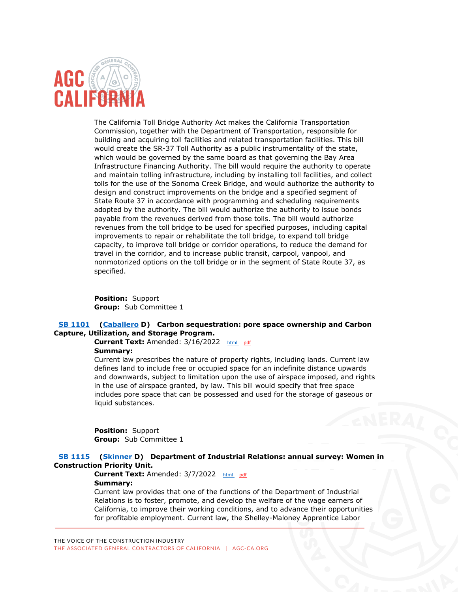

The California Toll Bridge Authority Act makes the California Transportation Commission, together with the Department of Transportation, responsible for building and acquiring toll facilities and related transportation facilities. This bill would create the SR-37 Toll Authority as a public instrumentality of the state, which would be governed by the same board as that governing the Bay Area Infrastructure Financing Authority. The bill would require the authority to operate and maintain tolling infrastructure, including by installing toll facilities, and collect tolls for the use of the Sonoma Creek Bridge, and would authorize the authority to design and construct improvements on the bridge and a specified segment of State Route 37 in accordance with programming and scheduling requirements adopted by the authority. The bill would authorize the authority to issue bonds payable from the revenues derived from those tolls. The bill would authorize revenues from the toll bridge to be used for specified purposes, including capital improvements to repair or rehabilitate the toll bridge, to expand toll bridge capacity, to improve toll bridge or corridor operations, to reduce the demand for travel in the corridor, and to increase public transit, carpool, vanpool, and nonmotorized options on the toll bridge or in the segment of State Route 37, as specified.

**Position:** Support **Group:** Sub Committee 1

## **[SB 1101](https://ctweb.capitoltrack.com/public/publishbillinfo.aspx?bi=6jOvrnZq2EYnGAnO8572Y0vDGI6KXm4%2fspRGVP0Uy7ZrAP95R1gzbGvI4zMIhE9V) [\(Caballero](https://sd12.senate.ca.gov/) D) Carbon sequestration: pore space ownership and Carbon Capture, Utilization, and Storage Program.**

**Current Text:** Amended: 3/16/2022 [html](https://ct3k1.capitoltrack.com/Bills/21Bills/sen/sb_1101-1150/sb_1101_98_A_bill.htm) [pdf](https://ct3k1.capitoltrack.com/Bills/21Bills/sen/sb_1101-1150/sb_1101_98_A_bill.pdf) **Summary:**

Current law prescribes the nature of property rights, including lands. Current law defines land to include free or occupied space for an indefinite distance upwards and downwards, subject to limitation upon the use of airspace imposed, and rights in the use of airspace granted, by law. This bill would specify that free space includes pore space that can be possessed and used for the storage of gaseous or liquid substances.

**Position:** Support **Group:** Sub Committee 1

## **[SB 1115](https://ctweb.capitoltrack.com/public/publishbillinfo.aspx?bi=AOxcW1xk7xOEX%2fQrwF6asIRo0IweuP51KYOZR0l8CJIVjvswSTWxB31eU%2ftIv1AP) [\(Skinner](http://sd09.senate.ca.gov/) D) Department of Industrial Relations: annual survey: Women in Construction Priority Unit.**

**Current Text:** Amended: 3/7/2022 [html](https://ct3k1.capitoltrack.com/Bills/21Bills/sen/sb_1101-1150/sb_1115_98_A_bill.htm) [pdf](https://ct3k1.capitoltrack.com/Bills/21Bills/sen/sb_1101-1150/sb_1115_98_A_bill.pdf) **Summary:**

Current law provides that one of the functions of the Department of Industrial Relations is to foster, promote, and develop the welfare of the wage earners of California, to improve their working conditions, and to advance their opportunities for profitable employment. Current law, the Shelley-Maloney Apprentice Labor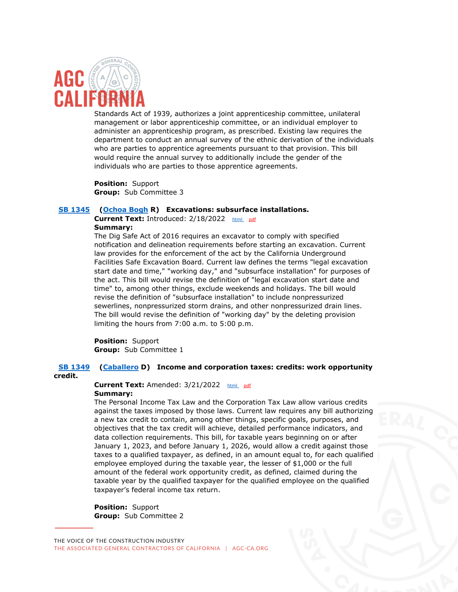

Standards Act of 1939, authorizes a joint apprenticeship committee, unilateral management or labor apprenticeship committee, or an individual employer to administer an apprenticeship program, as prescribed. Existing law requires the department to conduct an annual survey of the ethnic derivation of the individuals who are parties to apprentice agreements pursuant to that provision. This bill would require the annual survey to additionally include the gender of the individuals who are parties to those apprentice agreements.

**Position:** Support **Group:** Sub Committee 3

#### **[SB 1345](https://ctweb.capitoltrack.com/public/publishbillinfo.aspx?bi=znNATp8IBdh17lAqd7kOPnbejVrDX9Jz%2fTQlN86VV1jl5DDNtfnhgpLegCwEPTtG) [\(Ochoa Bogh](https://ochoa-bogh.cssrc.us/) R) Excavations: subsurface installations.**

Current Text: Introduced: 2/18/2022 [html](https://ct3k1.capitoltrack.com/Bills/21Bills/sen/sb_1301-1350/sb_1345_99_I_bill.htm) [pdf](https://ct3k1.capitoltrack.com/Bills/21Bills/sen/sb_1301-1350/sb_1345_99_I_bill.pdf) **Summary:**

The Dig Safe Act of 2016 requires an excavator to comply with specified notification and delineation requirements before starting an excavation. Current law provides for the enforcement of the act by the California Underground Facilities Safe Excavation Board. Current law defines the terms "legal excavation start date and time," "working day," and "subsurface installation" for purposes of the act. This bill would revise the definition of "legal excavation start date and time" to, among other things, exclude weekends and holidays. The bill would revise the definition of "subsurface installation" to include nonpressurized sewerlines, nonpressurized storm drains, and other nonpressurized drain lines. The bill would revise the definition of "working day" by the deleting provision limiting the hours from 7:00 a.m. to 5:00 p.m.

**Position:** Support **Group:** Sub Committee 1

#### **[SB 1349](https://ctweb.capitoltrack.com/public/publishbillinfo.aspx?bi=4OM4LWDmbfXDpM0zONwawlKfF%2f4L32G3BfskvSqYjoHXfzeTtMCS6Uju71kVAHUn) [\(Caballero](https://sd12.senate.ca.gov/) D) Income and corporation taxes: credits: work opportunity credit.**

# **Current Text:** Amended: 3/21/2022 [html](https://ct3k1.capitoltrack.com/Bills/21Bills/sen/sb_1301-1350/sb_1349_98_A_bill.htm) [pdf](https://ct3k1.capitoltrack.com/Bills/21Bills/sen/sb_1301-1350/sb_1349_98_A_bill.pdf)

### **Summary:**

The Personal Income Tax Law and the Corporation Tax Law allow various credits against the taxes imposed by those laws. Current law requires any bill authorizing a new tax credit to contain, among other things, specific goals, purposes, and objectives that the tax credit will achieve, detailed performance indicators, and data collection requirements. This bill, for taxable years beginning on or after January 1, 2023, and before January 1, 2026, would allow a credit against those taxes to a qualified taxpayer, as defined, in an amount equal to, for each qualified employee employed during the taxable year, the lesser of \$1,000 or the full amount of the federal work opportunity credit, as defined, claimed during the taxable year by the qualified taxpayer for the qualified employee on the qualified taxpayer's federal income tax return.

**Position:** Support **Group:** Sub Committee 2

THE VOICE OF THE CONSTRUCTION INDUSTRY THE ASSOCIATED GENERAL CONTRACTORS OF CALIFORNIA | AGC-CA.ORG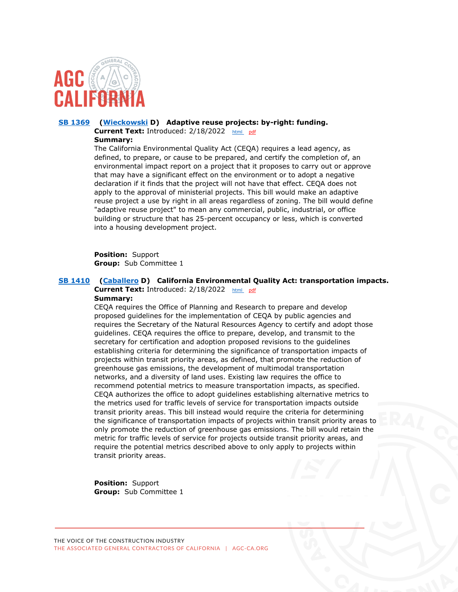

### **[SB 1369](https://ctweb.capitoltrack.com/public/publishbillinfo.aspx?bi=ZBocUPrvkItCU7ynSlyu1tQuQA9DSZCuPKRf0r%2bWF%2bm%2byuJIptebqGKScpopIsF7) [\(Wieckowski](http://sd10.senate.ca.gov/) D) Adaptive reuse projects: by-right: funding.**

**Current Text:** Introduced: 2/18/2022 [html](https://ct3k1.capitoltrack.com/Bills/21Bills/sen/sb_1351-1400/sb_1369_99_I_bill.htm) [pdf](https://ct3k1.capitoltrack.com/Bills/21Bills/sen/sb_1351-1400/sb_1369_99_I_bill.pdf) **Summary:**

The California Environmental Quality Act (CEQA) requires a lead agency, as defined, to prepare, or cause to be prepared, and certify the completion of, an environmental impact report on a project that it proposes to carry out or approve that may have a significant effect on the environment or to adopt a negative declaration if it finds that the project will not have that effect. CEQA does not apply to the approval of ministerial projects. This bill would make an adaptive reuse project a use by right in all areas regardless of zoning. The bill would define "adaptive reuse project" to mean any commercial, public, industrial, or office building or structure that has 25-percent occupancy or less, which is converted into a housing development project.

**Position:** Support **Group:** Sub Committee 1

#### **[SB 1410](https://ctweb.capitoltrack.com/public/publishbillinfo.aspx?bi=5KCtZpd95OM7GMlvoU1Otp1TF4d8dUmfzjn62XC4Yh8ksbIVYhitJ24W8DGFR%2fgq) [\(Caballero](https://sd12.senate.ca.gov/) D) California Environmental Quality Act: transportation impacts. Current Text:** Introduced: 2/18/2022 [html](https://ct3k1.capitoltrack.com/Bills/21Bills/sen/sb_1401-1450/sb_1410_99_I_bill.htm) [pdf](https://ct3k1.capitoltrack.com/Bills/21Bills/sen/sb_1401-1450/sb_1410_99_I_bill.pdf) **Summary:**

CEQA requires the Office of Planning and Research to prepare and develop proposed guidelines for the implementation of CEQA by public agencies and requires the Secretary of the Natural Resources Agency to certify and adopt those guidelines. CEQA requires the office to prepare, develop, and transmit to the secretary for certification and adoption proposed revisions to the guidelines establishing criteria for determining the significance of transportation impacts of projects within transit priority areas, as defined, that promote the reduction of greenhouse gas emissions, the development of multimodal transportation networks, and a diversity of land uses. Existing law requires the office to recommend potential metrics to measure transportation impacts, as specified. CEQA authorizes the office to adopt guidelines establishing alternative metrics to the metrics used for traffic levels of service for transportation impacts outside transit priority areas. This bill instead would require the criteria for determining the significance of transportation impacts of projects within transit priority areas to only promote the reduction of greenhouse gas emissions. The bill would retain the metric for traffic levels of service for projects outside transit priority areas, and require the potential metrics described above to only apply to projects within transit priority areas.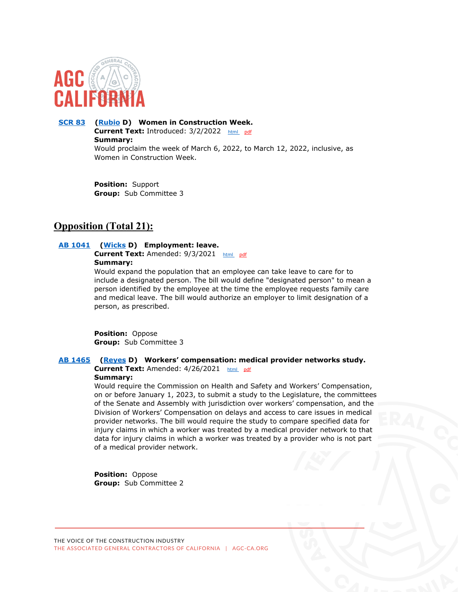

 **[SCR 83](https://ctweb.capitoltrack.com/public/publishbillinfo.aspx?bi=0jIgl7yA4y2oVJRtQuL3lg%2f75sAuTDr%2fAYGuxCaE7uLnTKpjmsh9SJBASnIUaVuL) [\(Rubio](http://sd22.senate.ca.gov/) D) Women in Construction Week. Current Text:** Introduced: 3/2/2022 [html](https://ct3k1.capitoltrack.com/Bills/21Bills/sen/sb_0051-0100/scr_83_99_I_bill.htm) [pdf](https://ct3k1.capitoltrack.com/Bills/21Bills/sen/sb_0051-0100/scr_83_99_I_bill.pdf) **Summary:** Would proclaim the week of March 6, 2022, to March 12, 2022, inclusive, as Women in Construction Week.

> **Position:** Support **Group:** Sub Committee 3

# **Opposition (Total 21):**

#### **[AB 1041](https://ctweb.capitoltrack.com/public/publishbillinfo.aspx?bi=Ea0eYaIbOb2RD3sQIb03AecJUKGb6k85kFcCitm4V9GLBalU64aN%2f3%2f5qoUMGmA3) [\(Wicks](https://a15.asmdc.org/) D) Employment: leave. Current Text:** Amended: 9/3/2021 [html](https://ct3k1.capitoltrack.com/Bills/21Bills/asm/ab_1001-1050/ab_1041_97_A_bill.htm) [pdf](https://ct3k1.capitoltrack.com/Bills/21Bills/asm/ab_1001-1050/ab_1041_97_A_bill.pdf)

**Summary:**

Would expand the population that an employee can take leave to care for to include a designated person. The bill would define "designated person" to mean a person identified by the employee at the time the employee requests family care and medical leave. The bill would authorize an employer to limit designation of a person, as prescribed.

**Position:** Oppose **Group:** Sub Committee 3

# **[AB 1465](https://ctweb.capitoltrack.com/public/publishbillinfo.aspx?bi=Y5A3KzK%2bwmVW7%2fSi5gHJySCzjzRTneku0mapOGlLuyqEN2mZrdr7rUFhFvGWFNWo) [\(Reyes](https://a47.asmdc.org/) D) Workers' compensation: medical provider networks study.**

**Current Text:** Amended: 4/26/2021 [html](https://ct3k1.capitoltrack.com/Bills/21Bills/asm/ab_1451-1500/ab_1465_97_A_bill.htm) [pdf](https://ct3k1.capitoltrack.com/Bills/21Bills/asm/ab_1451-1500/ab_1465_97_A_bill.pdf) **Summary:**

Would require the Commission on Health and Safety and Workers' Compensation, on or before January 1, 2023, to submit a study to the Legislature, the committees of the Senate and Assembly with jurisdiction over workers' compensation, and the Division of Workers' Compensation on delays and access to care issues in medical provider networks. The bill would require the study to compare specified data for injury claims in which a worker was treated by a medical provider network to that data for injury claims in which a worker was treated by a provider who is not part of a medical provider network.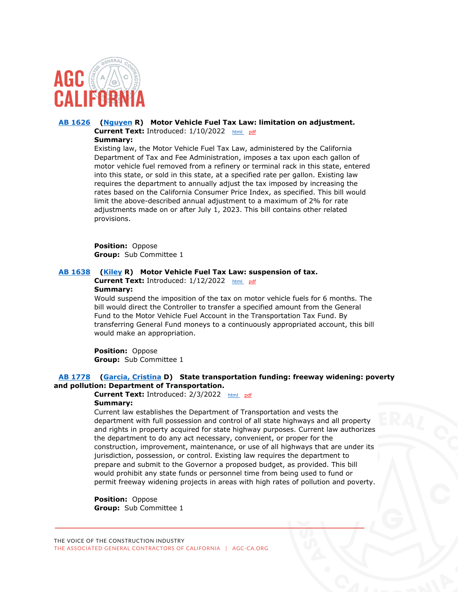

## **[AB 1626](https://ctweb.capitoltrack.com/public/publishbillinfo.aspx?bi=1VLoF2uI1lWhtqd1SLMKdH7%2b6VhcJ%2brQlxWKMGgdGlP4r%2f3aWTY2a19iaajrLGhn) [\(Nguyen](https://ad72.asmrc.org/) R) Motor Vehicle Fuel Tax Law: limitation on adjustment.**

**Current Text:** Introduced: 1/10/2022 [html](https://ct3k1.capitoltrack.com/Bills/21Bills/asm/ab_1601-1650/ab_1626_99_I_bill.htm) [pdf](https://ct3k1.capitoltrack.com/Bills/21Bills/asm/ab_1601-1650/ab_1626_99_I_bill.pdf)

## **Summary:**

Existing law, the Motor Vehicle Fuel Tax Law, administered by the California Department of Tax and Fee Administration, imposes a tax upon each gallon of motor vehicle fuel removed from a refinery or terminal rack in this state, entered into this state, or sold in this state, at a specified rate per gallon. Existing law requires the department to annually adjust the tax imposed by increasing the rates based on the California Consumer Price Index, as specified. This bill would limit the above-described annual adjustment to a maximum of 2% for rate adjustments made on or after July 1, 2023. This bill contains other related provisions.

**Position:** Oppose **Group:** Sub Committee 1

#### **[AB 1638](https://ctweb.capitoltrack.com/public/publishbillinfo.aspx?bi=Cxh7S2lnAw1quWAE1KprP1d%2b0pdzZ3xFDLXAONCpoJuE%2bF3grRzwZ2Vwgv2tOb59) [\(Kiley](https://ad06.asmrc.org/) R) Motor Vehicle Fuel Tax Law: suspension of tax.**

**Current Text:** Introduced: 1/12/2022 [html](https://ct3k1.capitoltrack.com/Bills/21Bills/asm/ab_1601-1650/ab_1638_99_I_bill.htm) [pdf](https://ct3k1.capitoltrack.com/Bills/21Bills/asm/ab_1601-1650/ab_1638_99_I_bill.pdf) **Summary:**

Would suspend the imposition of the tax on motor vehicle fuels for 6 months. The bill would direct the Controller to transfer a specified amount from the General Fund to the Motor Vehicle Fuel Account in the Transportation Tax Fund. By transferring General Fund moneys to a continuously appropriated account, this bill would make an appropriation.

**Position:** Oppose **Group:** Sub Committee 1

# **[AB 1778](https://ctweb.capitoltrack.com/public/publishbillinfo.aspx?bi=%2b3e8qwqw4npMBuc3i3RcybJibpo1Zh67hZ0Z5AzvooxrIHQl3njPlLzDs9PLOaJ9) [\(Garcia, Cristina](https://a58.asmdc.org/) D) State transportation funding: freeway widening: poverty and pollution: Department of Transportation.**

**Current Text:** Introduced: 2/3/2022 [html](https://ct3k1.capitoltrack.com/Bills/21Bills/asm/ab_1751-1800/ab_1778_99_I_bill.htm) [pdf](https://ct3k1.capitoltrack.com/Bills/21Bills/asm/ab_1751-1800/ab_1778_99_I_bill.pdf) **Summary:**

Current law establishes the Department of Transportation and vests the department with full possession and control of all state highways and all property and rights in property acquired for state highway purposes. Current law authorizes the department to do any act necessary, convenient, or proper for the construction, improvement, maintenance, or use of all highways that are under its jurisdiction, possession, or control. Existing law requires the department to prepare and submit to the Governor a proposed budget, as provided. This bill would prohibit any state funds or personnel time from being used to fund or permit freeway widening projects in areas with high rates of pollution and poverty.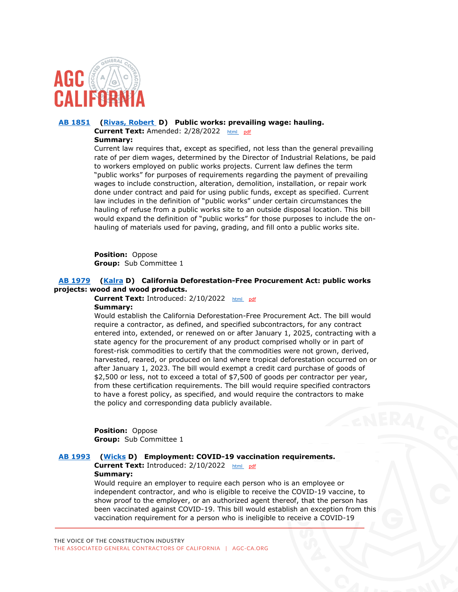

# **[AB 1851](https://ctweb.capitoltrack.com/public/publishbillinfo.aspx?bi=US9q%2bCzkXirp4D7Qni4yfc1j44u7C3O1Wab%2f2s4b4FlOEeXVo3Vx0t1DYn39pr80) [\(Rivas, Robert](https://a30.asmdc.org/) D) Public works: prevailing wage: hauling.**

**Current Text:** Amended: 2/28/2022 [html](https://ct3k1.capitoltrack.com/Bills/21Bills/asm/ab_1851-1900/ab_1851_98_A_bill.htm) [pdf](https://ct3k1.capitoltrack.com/Bills/21Bills/asm/ab_1851-1900/ab_1851_98_A_bill.pdf)

**Summary:**

Current law requires that, except as specified, not less than the general prevailing rate of per diem wages, determined by the Director of Industrial Relations, be paid to workers employed on public works projects. Current law defines the term "public works" for purposes of requirements regarding the payment of prevailing wages to include construction, alteration, demolition, installation, or repair work done under contract and paid for using public funds, except as specified. Current law includes in the definition of "public works" under certain circumstances the hauling of refuse from a public works site to an outside disposal location. This bill would expand the definition of "public works" for those purposes to include the onhauling of materials used for paving, grading, and fill onto a public works site.

**Position:** Oppose **Group:** Sub Committee 1

# **[AB 1979](https://ctweb.capitoltrack.com/public/publishbillinfo.aspx?bi=TT4%2fm5TJXRVUELkLHl165%2bd0HSQ26Sb%2f2bpq2KysMFGrNJ5ReTUUmY8gYrT5gSmi) [\(Kalra](https://a27.asmdc.org/) D) California Deforestation-Free Procurement Act: public works projects: wood and wood products.**

**Current Text:** Introduced: 2/10/2022 [html](https://ct3k1.capitoltrack.com/Bills/21Bills/asm/ab_1951-2000/ab_1979_99_I_bill.htm) [pdf](https://ct3k1.capitoltrack.com/Bills/21Bills/asm/ab_1951-2000/ab_1979_99_I_bill.pdf)

**Summary:**

Would establish the California Deforestation-Free Procurement Act. The bill would require a contractor, as defined, and specified subcontractors, for any contract entered into, extended, or renewed on or after January 1, 2025, contracting with a state agency for the procurement of any product comprised wholly or in part of forest-risk commodities to certify that the commodities were not grown, derived, harvested, reared, or produced on land where tropical deforestation occurred on or after January 1, 2023. The bill would exempt a credit card purchase of goods of \$2,500 or less, not to exceed a total of \$7,500 of goods per contractor per year, from these certification requirements. The bill would require specified contractors to have a forest policy, as specified, and would require the contractors to make the policy and corresponding data publicly available.

**Position:** Oppose **Group:** Sub Committee 1

# **[AB 1993](https://ctweb.capitoltrack.com/public/publishbillinfo.aspx?bi=M9GtAaSbGKFWd7CltTDcgP%2fkNqfVRNw%2bIAC8YB6KsiNW6GjEOTvMW51wXXeNzWHk) [\(Wicks](https://a15.asmdc.org/) D) Employment: COVID-19 vaccination requirements.**

**Current Text:** Introduced: 2/10/2022 [html](https://ct3k1.capitoltrack.com/Bills/21Bills/asm/ab_1951-2000/ab_1993_99_I_bill.htm) [pdf](https://ct3k1.capitoltrack.com/Bills/21Bills/asm/ab_1951-2000/ab_1993_99_I_bill.pdf) **Summary:**

Would require an employer to require each person who is an employee or independent contractor, and who is eligible to receive the COVID-19 vaccine, to show proof to the employer, or an authorized agent thereof, that the person has been vaccinated against COVID-19. This bill would establish an exception from this vaccination requirement for a person who is ineligible to receive a COVID-19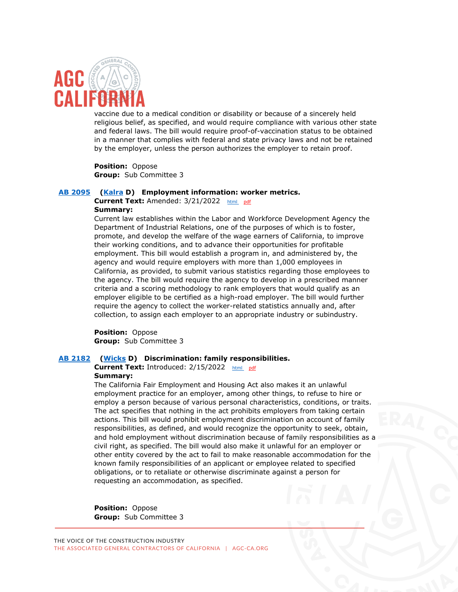

vaccine due to a medical condition or disability or because of a sincerely held religious belief, as specified, and would require compliance with various other state and federal laws. The bill would require proof-of-vaccination status to be obtained in a manner that complies with federal and state privacy laws and not be retained by the employer, unless the person authorizes the employer to retain proof.

**Position:** Oppose **Group:** Sub Committee 3

#### **[AB 2095](https://ctweb.capitoltrack.com/public/publishbillinfo.aspx?bi=FPJZ4G45T74awL0IL1Gi1xx3Cwjm3EsxMFTtZW8qZK9nDofNwBNwezOAiw74zdYy) [\(Kalra](https://a27.asmdc.org/) D) Employment information: worker metrics.**

Current Text: Amended: 3/21/2022 [html](https://ct3k1.capitoltrack.com/Bills/21Bills/asm/ab_2051-2100/ab_2095_97_A_bill.htm) [pdf](https://ct3k1.capitoltrack.com/Bills/21Bills/asm/ab_2051-2100/ab_2095_97_A_bill.pdf) **Summary:**

Current law establishes within the Labor and Workforce Development Agency the Department of Industrial Relations, one of the purposes of which is to foster, promote, and develop the welfare of the wage earners of California, to improve their working conditions, and to advance their opportunities for profitable employment. This bill would establish a program in, and administered by, the agency and would require employers with more than 1,000 employees in California, as provided, to submit various statistics regarding those employees to the agency. The bill would require the agency to develop in a prescribed manner criteria and a scoring methodology to rank employers that would qualify as an employer eligible to be certified as a high-road employer. The bill would further require the agency to collect the worker-related statistics annually and, after collection, to assign each employer to an appropriate industry or subindustry.

**Position:** Oppose **Group:** Sub Committee 3

#### **[AB 2182](https://ctweb.capitoltrack.com/public/publishbillinfo.aspx?bi=76KxVaCtPn9eDnM6wbGM3agS1s%2fVPfwLL0xz5VRVOOKpnGgNLSGVE9jAxYlIAbao) [\(Wicks](https://a15.asmdc.org/) D) Discrimination: family responsibilities.**

**Current Text:** Introduced: 2/15/2022 [html](https://ct3k1.capitoltrack.com/Bills/21Bills/asm/ab_2151-2200/ab_2182_99_I_bill.htm) [pdf](https://ct3k1.capitoltrack.com/Bills/21Bills/asm/ab_2151-2200/ab_2182_99_I_bill.pdf) **Summary:**

The California Fair Employment and Housing Act also makes it an unlawful employment practice for an employer, among other things, to refuse to hire or employ a person because of various personal characteristics, conditions, or traits. The act specifies that nothing in the act prohibits employers from taking certain actions. This bill would prohibit employment discrimination on account of family responsibilities, as defined, and would recognize the opportunity to seek, obtain, and hold employment without discrimination because of family responsibilities as a civil right, as specified. The bill would also make it unlawful for an employer or other entity covered by the act to fail to make reasonable accommodation for the known family responsibilities of an applicant or employee related to specified obligations, or to retaliate or otherwise discriminate against a person for requesting an accommodation, as specified.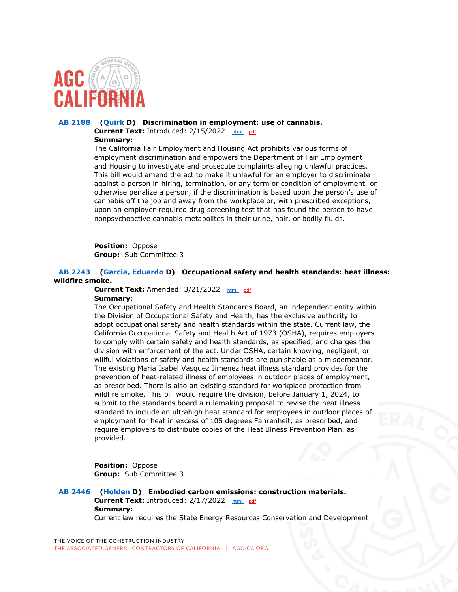

#### **[AB 2188](https://ctweb.capitoltrack.com/public/publishbillinfo.aspx?bi=6dVhX5kh4VKtsdyQ5rqgO3h4F3dJtjx7hVlIJqhausDUgXEgmUKcBA5xadcZb8XR) [\(Quirk](https://a20.asmdc.org/) D) Discrimination in employment: use of cannabis.**

**Current Text:** Introduced: 2/15/2022 [html](https://ct3k1.capitoltrack.com/Bills/21Bills/asm/ab_2151-2200/ab_2188_99_I_bill.htm) [pdf](https://ct3k1.capitoltrack.com/Bills/21Bills/asm/ab_2151-2200/ab_2188_99_I_bill.pdf) **Summary:**

The California Fair Employment and Housing Act prohibits various forms of employment discrimination and empowers the Department of Fair Employment and Housing to investigate and prosecute complaints alleging unlawful practices. This bill would amend the act to make it unlawful for an employer to discriminate against a person in hiring, termination, or any term or condition of employment, or otherwise penalize a person, if the discrimination is based upon the person's use of cannabis off the job and away from the workplace or, with prescribed exceptions, upon an employer-required drug screening test that has found the person to have nonpsychoactive cannabis metabolites in their urine, hair, or bodily fluids.

**Position:** Oppose **Group:** Sub Committee 3

#### **[AB 2243](https://ctweb.capitoltrack.com/public/publishbillinfo.aspx?bi=OAGetb29c6J77nUAbrYOqX6%2b3JcbgR%2fc%2fCKs0jfx4RzX8LkDcwhhoNs3SXORNCAj) [\(Garcia, Eduardo](https://a56.asmdc.org/) D) Occupational safety and health standards: heat illness: wildfire smoke.**

**Current Text:** Amended: 3/21/2022 [html](https://ct3k1.capitoltrack.com/Bills/21Bills/asm/ab_2201-2250/ab_2243_98_A_bill.htm) [pdf](https://ct3k1.capitoltrack.com/Bills/21Bills/asm/ab_2201-2250/ab_2243_98_A_bill.pdf) **Summary:**

The Occupational Safety and Health Standards Board, an independent entity within the Division of Occupational Safety and Health, has the exclusive authority to adopt occupational safety and health standards within the state. Current law, the California Occupational Safety and Health Act of 1973 (OSHA), requires employers to comply with certain safety and health standards, as specified, and charges the division with enforcement of the act. Under OSHA, certain knowing, negligent, or willful violations of safety and health standards are punishable as a misdemeanor. The existing Maria Isabel Vasquez Jimenez heat illness standard provides for the prevention of heat-related illness of employees in outdoor places of employment, as prescribed. There is also an existing standard for workplace protection from wildfire smoke. This bill would require the division, before January 1, 2024, to submit to the standards board a rulemaking proposal to revise the heat illness standard to include an ultrahigh heat standard for employees in outdoor places of employment for heat in excess of 105 degrees Fahrenheit, as prescribed, and require employers to distribute copies of the Heat Illness Prevention Plan, as provided.

**Position:** Oppose **Group:** Sub Committee 3

 **[AB 2446](https://ctweb.capitoltrack.com/public/publishbillinfo.aspx?bi=msvCB8rxZTJKgw7gSzqCn2D0c2%2fw1RHTJLMct19vTi08Abe6xWTIZCmB%2fhNUswEl) [\(Holden](https://a41.asmdc.org/) D) Embodied carbon emissions: construction materials.** Current Text: Introduced: 2/17/2022 [html](https://ct3k1.capitoltrack.com/Bills/21Bills/asm/ab_2401-2450/ab_2446_99_I_bill.htm) [pdf](https://ct3k1.capitoltrack.com/Bills/21Bills/asm/ab_2401-2450/ab_2446_99_I_bill.pdf) **Summary:** Current law requires the State Energy Resources Conservation and Development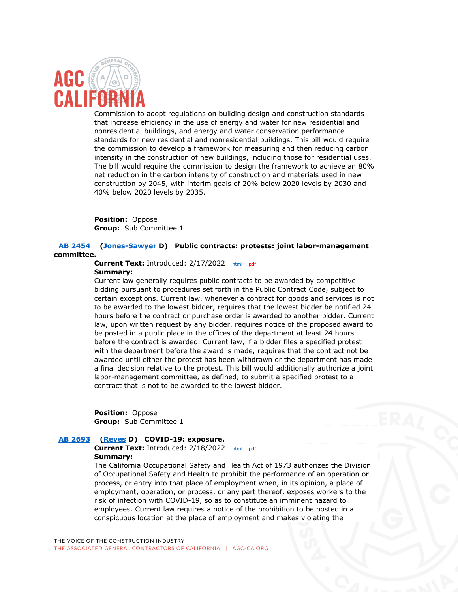

Commission to adopt regulations on building design and construction standards that increase efficiency in the use of energy and water for new residential and nonresidential buildings, and energy and water conservation performance standards for new residential and nonresidential buildings. This bill would require the commission to develop a framework for measuring and then reducing carbon intensity in the construction of new buildings, including those for residential uses. The bill would require the commission to design the framework to achieve an 80% net reduction in the carbon intensity of construction and materials used in new construction by 2045, with interim goals of 20% below 2020 levels by 2030 and 40% below 2020 levels by 2035.

**Position:** Oppose **Group:** Sub Committee 1

#### **[AB 2454](https://ctweb.capitoltrack.com/public/publishbillinfo.aspx?bi=SAPAEirqmM%2fM4LWFwACDWH17gKmIr0RXX1UyjEiMMf%2bg5ff%2bnpu55BwjMfqTvvhO) [\(Jones-Sawyer](https://a59.asmdc.org/) D) Public contracts: protests: joint labor-management committee.**

Current Text: Introduced: 2/17/2022 [html](https://ct3k1.capitoltrack.com/Bills/21Bills/asm/ab_2451-2500/ab_2454_99_I_bill.htm) [pdf](https://ct3k1.capitoltrack.com/Bills/21Bills/asm/ab_2451-2500/ab_2454_99_I_bill.pdf)

# **Summary:**

Current law generally requires public contracts to be awarded by competitive bidding pursuant to procedures set forth in the Public Contract Code, subject to certain exceptions. Current law, whenever a contract for goods and services is not to be awarded to the lowest bidder, requires that the lowest bidder be notified 24 hours before the contract or purchase order is awarded to another bidder. Current law, upon written request by any bidder, requires notice of the proposed award to be posted in a public place in the offices of the department at least 24 hours before the contract is awarded. Current law, if a bidder files a specified protest with the department before the award is made, requires that the contract not be awarded until either the protest has been withdrawn or the department has made a final decision relative to the protest. This bill would additionally authorize a joint labor-management committee, as defined, to submit a specified protest to a contract that is not to be awarded to the lowest bidder.

**Position:** Oppose **Group:** Sub Committee 1

#### **[AB 2693](https://ctweb.capitoltrack.com/public/publishbillinfo.aspx?bi=oCKMML1BS3bYeeT%2bxnpDcblNRZo0tWml0eYq%2fpbQnyR%2bQLIDRLJL1MsQtPUTlFVq) [\(Reyes](https://a47.asmdc.org/) D) COVID-19: exposure.**

Current Text: Introduced: 2/18/2022 [html](https://ct3k1.capitoltrack.com/Bills/21Bills/asm/ab_2651-2700/ab_2693_99_I_bill.htm) [pdf](https://ct3k1.capitoltrack.com/Bills/21Bills/asm/ab_2651-2700/ab_2693_99_I_bill.pdf) **Summary:**

The California Occupational Safety and Health Act of 1973 authorizes the Division of Occupational Safety and Health to prohibit the performance of an operation or process, or entry into that place of employment when, in its opinion, a place of employment, operation, or process, or any part thereof, exposes workers to the risk of infection with COVID-19, so as to constitute an imminent hazard to employees. Current law requires a notice of the prohibition to be posted in a conspicuous location at the place of employment and makes violating the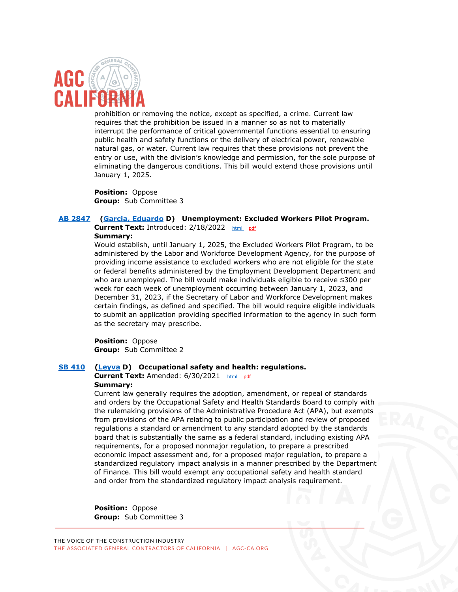

prohibition or removing the notice, except as specified, a crime. Current law requires that the prohibition be issued in a manner so as not to materially interrupt the performance of critical governmental functions essential to ensuring public health and safety functions or the delivery of electrical power, renewable natural gas, or water. Current law requires that these provisions not prevent the entry or use, with the division's knowledge and permission, for the sole purpose of eliminating the dangerous conditions. This bill would extend those provisions until January 1, 2025.

**Position:** Oppose **Group:** Sub Committee 3

#### **[AB 2847](https://ctweb.capitoltrack.com/public/publishbillinfo.aspx?bi=SkhDoKqKDgjtpar69Cn3UuGuuofi7cIHAFlAV2ryyydrXCWIhAzUDCN7KRCv8qJF) [\(Garcia, Eduardo](https://a56.asmdc.org/) D) Unemployment: Excluded Workers Pilot Program.**

**Current Text:** Introduced: 2/18/2022 [html](https://ct3k1.capitoltrack.com/Bills/21Bills/asm/ab_2801-2850/ab_2847_99_I_bill.htm) [pdf](https://ct3k1.capitoltrack.com/Bills/21Bills/asm/ab_2801-2850/ab_2847_99_I_bill.pdf)

#### **Summary:**

Would establish, until January 1, 2025, the Excluded Workers Pilot Program, to be administered by the Labor and Workforce Development Agency, for the purpose of providing income assistance to excluded workers who are not eligible for the state or federal benefits administered by the Employment Development Department and who are unemployed. The bill would make individuals eligible to receive \$300 per week for each week of unemployment occurring between January 1, 2023, and December 31, 2023, if the Secretary of Labor and Workforce Development makes certain findings, as defined and specified. The bill would require eligible individuals to submit an application providing specified information to the agency in such form as the secretary may prescribe.

**Position:** Oppose **Group:** Sub Committee 2

#### **[SB 410](https://ctweb.capitoltrack.com/public/publishbillinfo.aspx?bi=197G8Q%2b7aKWqe7C3oS8t7IhsRhCmu9ifj8%2b%2b7b0YPxYWWDw7TblmMNUy8K%2f3tBqk) [\(Leyva](http://sd20.senate.ca.gov/) D) Occupational safety and health: regulations.**

Current Text: Amended: 6/30/2021 [html](https://ct3k1.capitoltrack.com/Bills/21Bills/sen/sb_0401-0450/sb_410_97_A_bill.htm) [pdf](https://ct3k1.capitoltrack.com/Bills/21Bills/sen/sb_0401-0450/sb_410_97_A_bill.pdf) **Summary:**

Current law generally requires the adoption, amendment, or repeal of standards and orders by the Occupational Safety and Health Standards Board to comply with the rulemaking provisions of the Administrative Procedure Act (APA), but exempts from provisions of the APA relating to public participation and review of proposed regulations a standard or amendment to any standard adopted by the standards board that is substantially the same as a federal standard, including existing APA requirements, for a proposed nonmajor regulation, to prepare a prescribed economic impact assessment and, for a proposed major regulation, to prepare a standardized regulatory impact analysis in a manner prescribed by the Department of Finance. This bill would exempt any occupational safety and health standard and order from the standardized regulatory impact analysis requirement.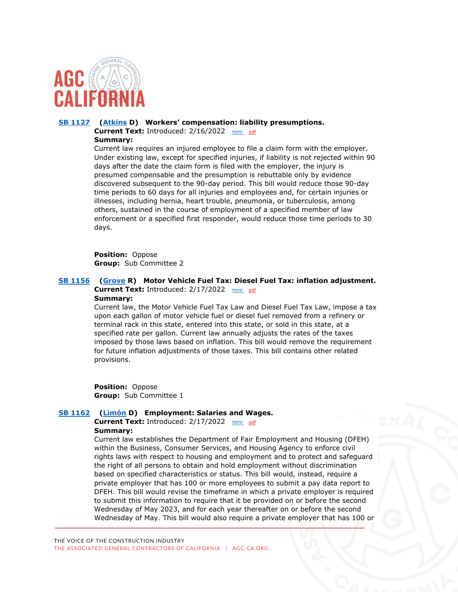

#### **[SB 1127](https://ctweb.capitoltrack.com/public/publishbillinfo.aspx?bi=LcPL%2f0i8zQBmeq0N5Prx9vc8uWj8xvE%2b%2bCs%2brkAuicichx2fABcwIoocUxU7RbBZ) [\(Atkins](http://sd39.senate.ca.gov/) D) Workers' compensation: liability presumptions.**

**Current Text:** Introduced: 2/16/2022 [html](https://ct3k1.capitoltrack.com/Bills/21Bills/sen/sb_1101-1150/sb_1127_99_I_bill.htm) [pdf](https://ct3k1.capitoltrack.com/Bills/21Bills/sen/sb_1101-1150/sb_1127_99_I_bill.pdf) **Summary:**

Current law requires an injured employee to file a claim form with the employer. Under existing law, except for specified injuries, if liability is not rejected within 90 days after the date the claim form is filed with the employer, the injury is presumed compensable and the presumption is rebuttable only by evidence discovered subsequent to the 90-day period. This bill would reduce those 90-day time periods to 60 days for all injuries and employees and, for certain injuries or illnesses, including hernia, heart trouble, pneumonia, or tuberculosis, among others, sustained in the course of employment of a specified member of law enforcement or a specified first responder, would reduce those time periods to 30 days.

**Position:** Oppose **Group:** Sub Committee 2

#### **[SB 1156](https://ctweb.capitoltrack.com/public/publishbillinfo.aspx?bi=3hdC01xVkVeOJpGKaEMihQW6u7FcOQkBZmTwGbvIvf01vfA6syjWyYjLpujgbbVC) [\(Grove](https://grove.cssrc.us/) R) Motor Vehicle Fuel Tax: Diesel Fuel Tax: inflation adjustment. Current Text:** Introduced: 2/17/2022 [html](https://ct3k1.capitoltrack.com/Bills/21Bills/sen/sb_1151-1200/sb_1156_99_I_bill.htm) [pdf](https://ct3k1.capitoltrack.com/Bills/21Bills/sen/sb_1151-1200/sb_1156_99_I_bill.pdf) **Summary:**

Current law, the Motor Vehicle Fuel Tax Law and Diesel Fuel Tax Law, impose a tax upon each gallon of motor vehicle fuel or diesel fuel removed from a refinery or terminal rack in this state, entered into this state, or sold in this state, at a specified rate per gallon. Current law annually adjusts the rates of the taxes imposed by those laws based on inflation. This bill would remove the requirement for future inflation adjustments of those taxes. This bill contains other related provisions.

**Position:** Oppose **Group:** Sub Committee 1

# **[SB 1162](https://ctweb.capitoltrack.com/public/publishbillinfo.aspx?bi=mk70qVdfkO5G1YUa5hpExEVvYI39guVr%2fwf%2bI%2fB7VclDwwJiz87P1k9iX4QpGqe6) [\(Limón](http://sd19.senate.ca.gov/) D) Employment: Salaries and Wages.**

**Current Text:** Introduced: 2/17/2022 [html](https://ct3k1.capitoltrack.com/Bills/21Bills/sen/sb_1151-1200/sb_1162_99_I_bill.htm) [pdf](https://ct3k1.capitoltrack.com/Bills/21Bills/sen/sb_1151-1200/sb_1162_99_I_bill.pdf) **Summary:**

Current law establishes the Department of Fair Employment and Housing (DFEH) within the Business, Consumer Services, and Housing Agency to enforce civil rights laws with respect to housing and employment and to protect and safeguard the right of all persons to obtain and hold employment without discrimination based on specified characteristics or status. This bill would, instead, require a private employer that has 100 or more employees to submit a pay data report to DFEH. This bill would revise the timeframe in which a private employer is required to submit this information to require that it be provided on or before the second Wednesday of May 2023, and for each year thereafter on or before the second Wednesday of May. This bill would also require a private employer that has 100 or